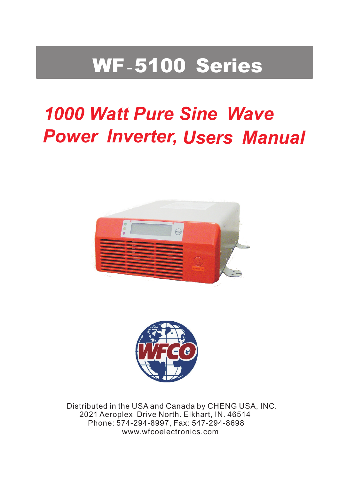# WF-5100 Series

# *1000 Watt Pure Sine Wave Power Inverter, Users Manual*





Distributed in the USA and Canada by CHENG USA, INC. 2021 Aeroplex Drive North. Elkhart, IN. 46514 Phone: 574-294-8997, Fax: 547-294-8698 www.wfcoelectronics.com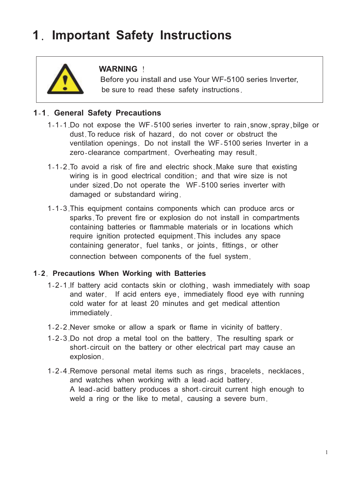# **1**. **Important Safety Instructions**



## **WARNING** !

 be sure to read these safety instructions. Before you install and use Your WF-5100 series Inverter,

### **1**-**1**. **General Safety Precautions**

- 1-1-1. Do not expose the WF-5100 series inverter to rain,snow,spray,bilge or dust.To reduce risk of hazard, do not cover or obstruct the ventilation openings. Do not install the WF-5100 series Inverter in a zero-clearance compartment. Overheating may result.
- 1-1-2. To avoid a risk of fire and electric shock.Make sure that existing wiring is in good electrical condition; and that wire size is not under sized.Do not operate the WF-5100 series inverter with damaged or substandard wiring.
- 1-1-3. This equipment contains components which can produce arcs or sparks.To prevent fire or explosion do not install in compartments containing batteries or flammable materials or in locations which require ignition protected equipment.This includes any space containing generator, fuel tanks, or joints, fittings, or other connection between components of the fuel system.

#### **1**-**2**. **Precautions When Working with Batteries**

- 1-2-1. If battery acid contacts skin or clothing, wash immediately with soap and water. If acid enters eye, immediately flood eye with running cold water for at least 20 minutes and get medical attention immediately.
- 1-2-2. Never smoke or allow a spark or flame in vicinity of battery.
- 1-2-3. Do not drop a metal tool on the battery. The resulting spark or short-circuit on the battery or other electrical part may cause an explosion.
- 1-2-4. Remove personal metal items such as rings, bracelets, necklaces, and watches when working with a lead-acid battery. A lead-acid battery produces a short-circuit current high enough to weld a ring or the like to metal, causing a severe burn.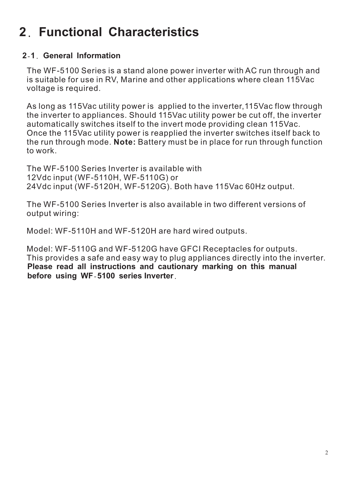# **2**. **Functional Characteristics**

# **2**-**1**. **General Information**

The WF-5100 Series is a stand alone power inverter with AC run through and is suitable for use in RV, Marine and other applications where clean 115Vac voltage is required.

As long as 115Vac utility power is applied to the inverter,115Vac flow through the inverter to appliances. Should 115Vac utility power be cut off, the inverter automatically switches itself to the invert mode providing clean 115Vac. Once the 115Vac utility power is reapplied the inverter switches itself back to the run through mode. **Note:** Battery must be in place for run through function to work.

The WF-5100 Series Inverter is available with 12Vdc input (WF-5110H, WF-5110G) or 24Vdc input (WF-5120H, WF-5120G). Both have 115Vac 60Hz output.

The WF-5100 Series Inverter is also available in two different versions of output wiring:

Model: WF-5110H and WF-5120H are hard wired outputs.

**Please read all instructions and cautionary marking on this manual before using WF**-**5100 series Inverter**. Model: WF-5110G and WF-5120G have GFCI Receptacles for outputs. This provides a safe and easy way to plug appliances directly into the inverter.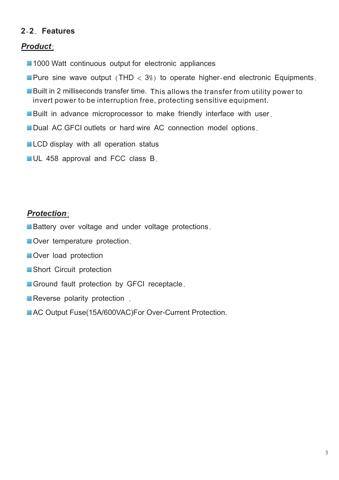# **2**-**2**. **Features**

## *Product*:

- 1000 Watt continuous output for electronic appliances
- **Pure sine wave output (THD**  $\lt 3\%$ **) to operate higher-end electronic Equipments.**
- Built in 2 milliseconds transfer time. This allows the transfer from utility power to invert power to be interruption free, protecting sensitive equipment.
- Built in advance microprocessor to make friendly interface with user.
- Dual AC GFCI outlets or hard wire AC connection model options.
- **LCD** display with all operation status
- **UL 458 approval and FCC class B.**

### *Protection*:

- **Battery over voltage and under voltage protections.**
- Over temperature protection.
- Over load protection
- Short Circuit protection
- Ground fault protection by GFCI receptacle.
- **Reverse polarity protection**.
- AC Output Fuse(15A/600VAC)For Over-Current Protection.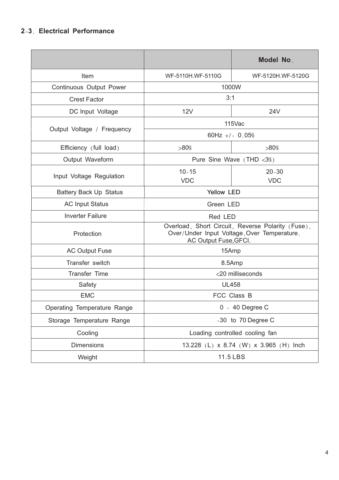### **2**-**3**. **Electrical Performance**

|                               |                                                                                                                           | Model No.               |  |
|-------------------------------|---------------------------------------------------------------------------------------------------------------------------|-------------------------|--|
| Item                          | WF-5110H.WF-5110G                                                                                                         | WF-5120H.WF-5120G       |  |
| Continuous Output Power       | 1000W                                                                                                                     |                         |  |
| <b>Crest Factor</b>           | 3:1                                                                                                                       |                         |  |
| DC Input Voltage              | 12V                                                                                                                       | 24V                     |  |
| Output Voltage / Frequency    | 115Vac                                                                                                                    |                         |  |
|                               | 60Hz +/- $0.05%$                                                                                                          |                         |  |
| Efficiency (full load)        | $>80\%$                                                                                                                   | $>80\%$                 |  |
| Output Waveform               | Pure Sine Wave $(THD < 3\%)$                                                                                              |                         |  |
| Input Voltage Regulation      | $10 - 15$<br><b>VDC</b>                                                                                                   | $20 - 30$<br><b>VDC</b> |  |
| <b>Battery Back Up Status</b> | <b>Yellow LED</b>                                                                                                         |                         |  |
| <b>AC Input Status</b>        | Green LED                                                                                                                 |                         |  |
| <b>Inverter Failure</b>       | Red LED                                                                                                                   |                         |  |
| Protection                    | Overload, Short Circuit, Reverse Polarity (Fuse),<br>Over/Under Input Voltage, Over Temperature.<br>AC Output Fuse, GFCI. |                         |  |
| <b>AC Output Fuse</b>         | 15Amp                                                                                                                     |                         |  |
| Transfer switch               | 8.5Amp                                                                                                                    |                         |  |
| <b>Transfer Time</b>          | <20 milliseconds                                                                                                          |                         |  |
| Safety                        | <b>UL458</b>                                                                                                              |                         |  |
| <b>EMC</b>                    | FCC Class B                                                                                                               |                         |  |
| Operating Temperature Range   | 0 - 40 Degree C                                                                                                           |                         |  |
| Storage Temperature Range     | -30 to 70 Degree C                                                                                                        |                         |  |
| Cooling                       | Loading controlled cooling fan                                                                                            |                         |  |
| <b>Dimensions</b>             | 13.228 (L) x 8.74 (W) x 3.965 (H) lnch                                                                                    |                         |  |
| Weight                        | 11.5 LBS                                                                                                                  |                         |  |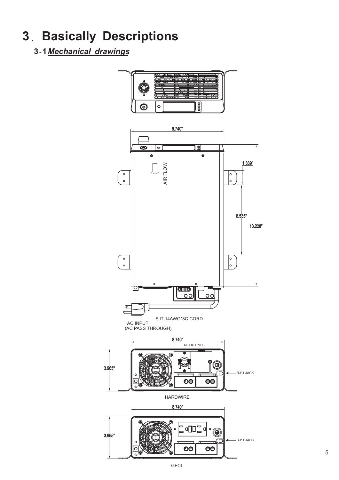# **3**. **Basically Descriptions**

**3**-**1***Mechanical drawings*



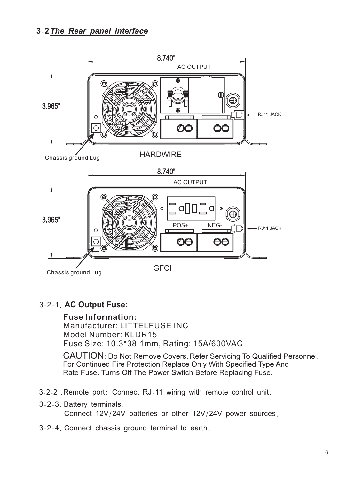# **3**-**2***The Rear panel interface*



### 3-2-1. **AC Output Fuse:**

**Fuse Information:** Manufacturer: LITTELFUSE INC Model Number: KLDR15 Fuse Size: 10.3\*38.1mm, Rating: 15A/600VAC

CAUTION: Do Not Remove Covers. Refer Servicing To Qualified Personnel. For Continued Fire Protection Replace Only With Specified Type And Rate Fuse. Turns Off The Power Switch Before Replacing Fuse.

- 3-2-2 .Remote port: Connect RJ-11 wiring with remote control unit.
- 3-2-3. Battery terminals: Connect 12V/24V batteries or other 12V/24V power sources.
- 3-2-4. Connect chassis ground terminal to earth.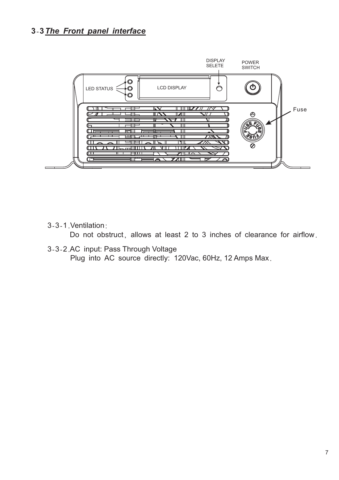# **3**-**3***The Front panel interface*



3-3-1. Ventilation:

Do not obstruct, allows at least 2 to 3 inches of clearance for airflow.

3-3-2. AC input: Pass Through Voltage Plug into AC source directly: 120Vac, 60Hz, 12 Amps Max.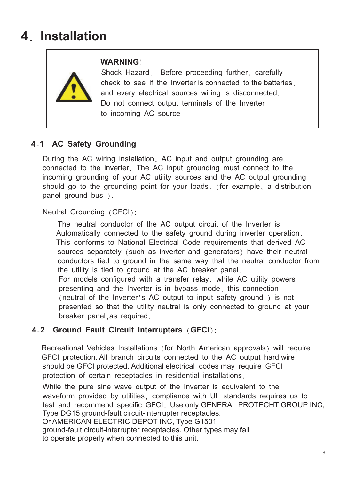# **4**. **Installation**



### **WARNING**!

 Shock Hazard. Before proceeding further, carefully check to see if the Inverter is connected to the batteries, and every electrical sources wiring is disconnected. Do not connect output terminals of the Inverter to incoming AC source.

# **4**-**1 AC Safety Grounding**:

During the AC wiring installation, AC input and output grounding are connected to the inverter. The AC input grounding must connect to the incoming grounding of your AC utility sources and the AC output grounding should go to the grounding point for your loads. (for example, a distribution panel ground bus ).

Neutral Grounding (GFCI):

The neutral conductor of the AC output circuit of the Inverter is Automatically connected to the safety ground during inverter operation. This conforms to National Electrical Code requirements that derived AC sources separately (such as inverter and generators) have their neutral conductors tied to ground in the same way that the neutral conductor from the utility is tied to ground at the AC breaker panel. For models configured with a transfer relay, while AC utility powers presenting and the Inverter is in bypass mode, this connection (neutral of the Inverter's AC output to input safety ground ) is not presented so that the utility neutral is only connected to ground at your breaker panel,as required.

### **4**-**2 Ground Fault Circuit Interrupters** (**GFCI**):

Recreational Vehicles Installations (for North American approvals) will require GFCI protection. All branch circuits connected to the AC output hard wire should be GFCI protected. Additional electrical codes may require GFCI protection of certain receptacles in residential installations.

While the pure sine wave output of the Inverter is equivalent to the waveform provided by utilities, compliance with UL standards requires us to test and recommend specific GFCI. Use only GENERAL PROTECHT GROUP INC, Type DG15 ground-fault circuit-interrupter receptacles.

Or AMERICAN ELECTRIC DEPOT INC, Type G1501

ground-fault circuit-interrupter receptacles. Other types may fail to operate properly when connected to this unit.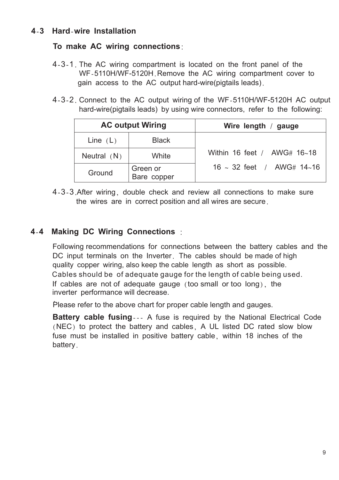#### **To make AC wiring connections**:

- 4-3-1. The AC wiring compartment is located on the front panel of the WF-5110H/WF-5120H.Remove the AC wiring compartment cover to gain access to the AC output hard-wire(pigtails leads).
- 4-3-2. Connect to the AC output wiring of the WF-5110H/WF-5120H AC output hard-wire(pigtails leads) by using wire connectors, refer to the following:

|               | <b>AC output Wiring</b> | Wire length / gauge            |
|---------------|-------------------------|--------------------------------|
| Line $(L)$    | <b>Black</b>            |                                |
| Neutral $(N)$ | White                   | Within 16 feet / $AWG# 16~18$  |
| Ground        | Green or<br>Bare copper | $16 \sim 32$ feet / AWG# 14~16 |

4-3-3. After wiring, double check and review all connections to make sure the wires are in correct position and all wires are secure.

# **4**-**4 Making DC Wiring Connections** :

Following recommendations for connections between the battery cables and the DC input terminals on the Inverter. The cables should be made of high quality copper wiring, also keep the cable length as short as possible. If cables are not of adequate gauge (too small or too long), the inverter performance will decrease. . Cables should be of adequate gauge for the length of cable being used.

Please refer to the above chart for proper cable length and gauges.

**Battery cable fusing** --- A fuse is required by the National Electrical Code (NEC) to protect the battery and cables, A UL listed DC rated slow blow fuse must be installed in positive battery cable, within 18 inches of the battery.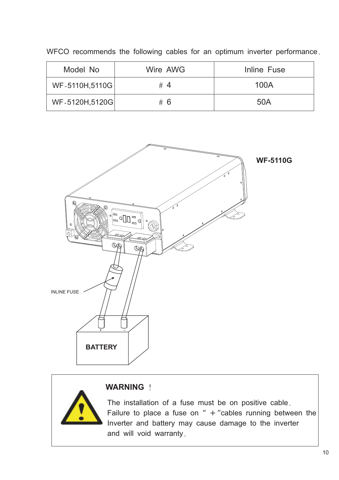| Model No       | Wire AWG | Inline Fuse |
|----------------|----------|-------------|
| WF-5110H,5110G | #4       | 100A        |
| WF-5120H,5120G | # 6      | 50A         |

WFCO recommends the following cables for an optimum inverter performance.



#### **WARNING** !

The installation of a fuse must be on positive cable. Failure to place a fuse on  $" + "cables running between the$ Inverter and battery may cause damage to the inverter and will void warranty.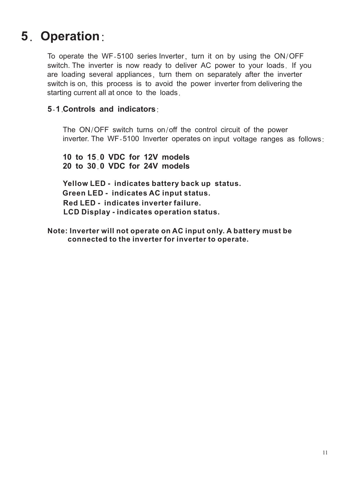# **5**. **Operation**:

To operate the WF-5100 series Inverter, turn it on by using the ON/OFF switch. The inverter is now ready to deliver AC power to your loads. If you are loading several appliances, turn them on separately after the inverter switch is on, this process is to avoid the power inverter from delivering the starting current all at once to the loads.

#### **5**-**1**. **Controls and indicators**:

The ON/OFF switch turns on/off the control circuit of the power inverter. The WF-5100 Inverter operates on input voltage ranges as follows:

**10 to 15**.**0 VDC for 12V models 20 to 30**.**0 VDC for 24V models**

**Yellow LED - indicates battery back up status. Green LED - indicates AC input status. Red LED - indicates inverter failure. LCD Display - indicates operation status.**

**Note: Inverter will not operate on AC input only. A battery must be connected to the inverter for inverter to operate.**